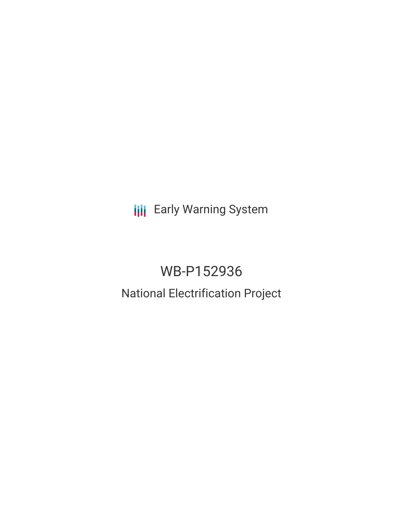**III** Early Warning System

# WB-P152936 National Electrification Project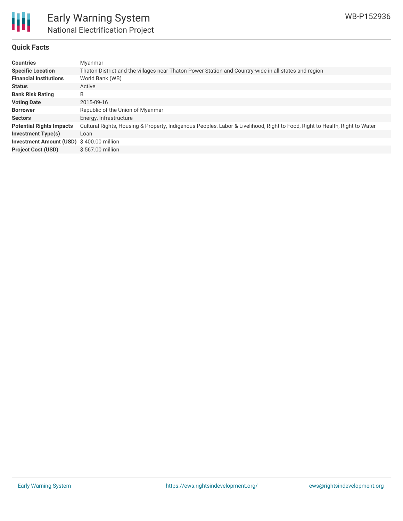

# **Quick Facts**

| <b>Countries</b>                         | Myanmar                                                                                                                     |
|------------------------------------------|-----------------------------------------------------------------------------------------------------------------------------|
| <b>Specific Location</b>                 | Thaton District and the villages near Thaton Power Station and Country-wide in all states and region                        |
| <b>Financial Institutions</b>            | World Bank (WB)                                                                                                             |
| <b>Status</b>                            | Active                                                                                                                      |
| <b>Bank Risk Rating</b>                  | B                                                                                                                           |
| <b>Voting Date</b>                       | 2015-09-16                                                                                                                  |
| <b>Borrower</b>                          | Republic of the Union of Myanmar                                                                                            |
| <b>Sectors</b>                           | Energy, Infrastructure                                                                                                      |
| <b>Potential Rights Impacts</b>          | Cultural Rights, Housing & Property, Indigenous Peoples, Labor & Livelihood, Right to Food, Right to Health, Right to Water |
| <b>Investment Type(s)</b>                | Loan                                                                                                                        |
| Investment Amount (USD) \$400.00 million |                                                                                                                             |
| <b>Project Cost (USD)</b>                | \$567.00 million                                                                                                            |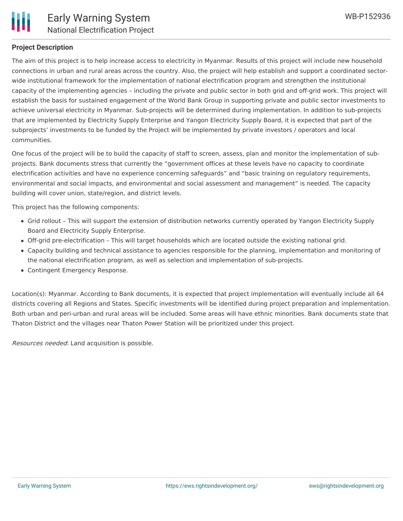

# **Project Description**

The aim of this project is to help increase access to electricity in Myanmar. Results of this project will include new household connections in urban and rural areas across the country. Also, the project will help establish and support a coordinated sectorwide institutional framework for the implementation of national electrification program and strengthen the institutional capacity of the implementing agencies – including the private and public sector in both grid and off-grid work. This project will establish the basis for sustained engagement of the World Bank Group in supporting private and public sector investments to achieve universal electricity in Myanmar. Sub-projects will be determined during implementation. In addition to sub-projects that are implemented by Electricity Supply Enterprise and Yangon Electricity Supply Board, it is expected that part of the subprojects' investments to be funded by the Project will be implemented by private investors / operators and local communities.

One focus of the project will be to build the capacity of staff to screen, assess, plan and monitor the implementation of subprojects. Bank documents stress that currently the "government offices at these levels have no capacity to coordinate electrification activities and have no experience concerning safeguards" and "basic training on regulatory requirements, environmental and social impacts, and environmental and social assessment and management" is needed. The capacity building will cover union, state/region, and district levels.

This project has the following components:

- Grid rollout This will support the extension of distribution networks currently operated by Yangon Electricity Supply Board and Electricity Supply Enterprise.
- Off-grid pre-electrification This will target households which are located outside the existing national grid.
- Capacity building and technical assistance to agencies responsible for the planning, implementation and monitoring of the national electrification program, as well as selection and implementation of sub-projects.
- Contingent Emergency Response.

Location(s): Myanmar. According to Bank documents, it is expected that project implementation will eventually include all 64 districts covering all Regions and States. Specific investments will be identified during project preparation and implementation. Both urban and peri-urban and rural areas will be included. Some areas will have ethnic minorities. Bank documents state that Thaton District and the villages near Thaton Power Station will be prioritized under this project.

Resources needed: Land acquisition is possible.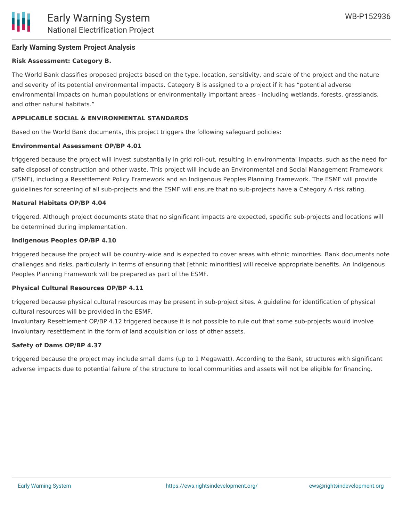

# **Early Warning System Project Analysis**

# **Risk Assessment: Category B.**

The World Bank classifies proposed projects based on the type, location, sensitivity, and scale of the project and the nature and severity of its potential environmental impacts. Category B is assigned to a project if it has "potential adverse environmental impacts on human populations or environmentally important areas - including wetlands, forests, grasslands, and other natural habitats."

## **APPLICABLE SOCIAL & ENVIRONMENTAL STANDARDS**

Based on the World Bank documents, this project triggers the following safeguard policies:

#### **Environmental Assessment OP/BP 4.01**

triggered because the project will invest substantially in grid roll-out, resulting in environmental impacts, such as the need for safe disposal of construction and other waste. This project will include an Environmental and Social Management Framework (ESMF), including a Resettlement Policy Framework and an Indigenous Peoples Planning Framework. The ESMF will provide guidelines for screening of all sub-projects and the ESMF will ensure that no sub-projects have a Category A risk rating.

#### **Natural Habitats OP/BP 4.04**

triggered. Although project documents state that no significant impacts are expected, specific sub-projects and locations will be determined during implementation.

#### **Indigenous Peoples OP/BP 4.10**

triggered because the project will be country-wide and is expected to cover areas with ethnic minorities. Bank documents note challenges and risks, particularly in terms of ensuring that [ethnic minorities] will receive appropriate benefits. An Indigenous Peoples Planning Framework will be prepared as part of the ESMF.

#### **Physical Cultural Resources OP/BP 4.11**

triggered because physical cultural resources may be present in sub-project sites. A guideline for identification of physical cultural resources will be provided in the ESMF.

Involuntary Resettlement OP/BP 4.12 triggered because it is not possible to rule out that some sub-projects would involve involuntary resettlement in the form of land acquisition or loss of other assets.

# **Safety of Dams OP/BP 4.37**

triggered because the project may include small dams (up to 1 Megawatt). According to the Bank, structures with significant adverse impacts due to potential failure of the structure to local communities and assets will not be eligible for financing.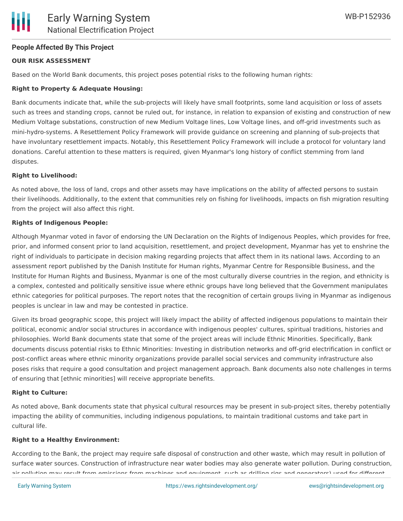# **People Affected By This Project**

# **OUR RISK ASSESSMENT**

Based on the World Bank documents, this project poses potential risks to the following human rights:

# **Right to Property & Adequate Housing:**

Bank documents indicate that, while the sub-projects will likely have small footprints, some land acquisition or loss of assets such as trees and standing crops, cannot be ruled out, for instance, in relation to expansion of existing and construction of new Medium Voltage substations, construction of new Medium Voltage lines, Low Voltage lines, and off-grid investments such as mini-hydro-systems. A Resettlement Policy Framework will provide guidance on screening and planning of sub-projects that have involuntary resettlement impacts. Notably, this Resettlement Policy Framework will include a protocol for voluntary land donations. Careful attention to these matters is required, given Myanmar's long history of conflict stemming from land disputes.

# **Right to Livelihood:**

As noted above, the loss of land, crops and other assets may have implications on the ability of affected persons to sustain their livelihoods. Additionally, to the extent that communities rely on fishing for livelihoods, impacts on fish migration resulting from the project will also affect this right.

#### **Rights of Indigenous People:**

Although Myanmar voted in favor of endorsing the UN Declaration on the Rights of Indigenous Peoples, which provides for free, prior, and informed consent prior to land acquisition, resettlement, and project development, Myanmar has yet to enshrine the right of individuals to participate in decision making regarding projects that affect them in its national laws. According to an assessment report published by the Danish Institute for Human rights, Myanmar Centre for Responsible Business, and the Institute for Human Rights and Business, Myanmar is one of the most culturally diverse countries in the region, and ethnicity is a complex, contested and politically sensitive issue where ethnic groups have long believed that the Government manipulates ethnic categories for political purposes. The report notes that the recognition of certain groups living in Myanmar as indigenous peoples is unclear in law and may be contested in practice.

Given its broad geographic scope, this project will likely impact the ability of affected indigenous populations to maintain their political, economic and/or social structures in accordance with indigenous peoples' cultures, spiritual traditions, histories and philosophies. World Bank documents state that some of the project areas will include Ethnic Minorities. Specifically, Bank documents discuss potential risks to Ethnic Minorities: Investing in distribution networks and off-grid electrification in conflict or post-conflict areas where ethnic minority organizations provide parallel social services and community infrastructure also poses risks that require a good consultation and project management approach. Bank documents also note challenges in terms of ensuring that [ethnic minorities] will receive appropriate benefits.

#### **Right to Culture:**

As noted above, Bank documents state that physical cultural resources may be present in sub-project sites, thereby potentially impacting the ability of communities, including indigenous populations, to maintain traditional customs and take part in cultural life.

#### **Right to a Healthy Environment:**

According to the Bank, the project may require safe disposal of construction and other waste, which may result in pollution of surface water sources. Construction of infrastructure near water bodies may also generate water pollution. During construction, air pollution may result from emissions from machines and equipment, such as drilling rigs and generators) used for different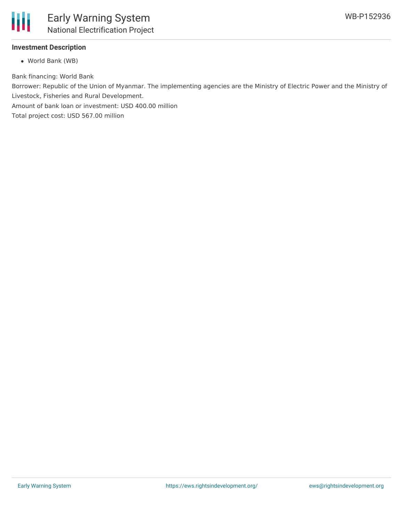

# **Investment Description**

World Bank (WB)

Bank financing: World Bank

Borrower: Republic of the Union of Myanmar. The implementing agencies are the Ministry of Electric Power and the Ministry of Livestock, Fisheries and Rural Development.

Amount of bank loan or investment: USD 400.00 million

Total project cost: USD 567.00 million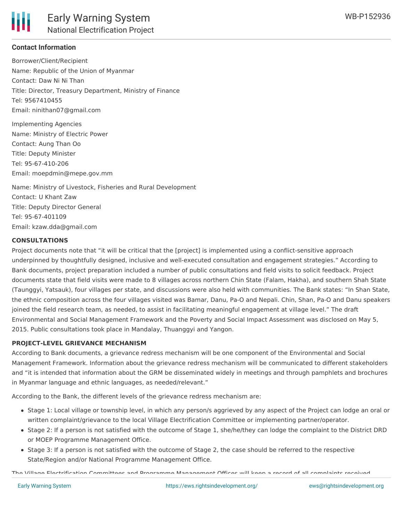

# **Contact Information**

Borrower/Client/Recipient Name: Republic of the Union of Myanmar Contact: Daw Ni Ni Than Title: Director, Treasury Department, Ministry of Finance Tel: 9567410455 Email: ninithan07@gmail.com

Implementing Agencies Name: Ministry of Electric Power Contact: Aung Than Oo Title: Deputy Minister Tel: 95-67-410-206 Email: moepdmin@mepe.gov.mm

Name: Ministry of Livestock, Fisheries and Rural Development Contact: U Khant Zaw Title: Deputy Director General Tel: 95-67-401109 Email: kzaw.dda@gmail.com

# **CONSULTATIONS**

Project documents note that "it will be critical that the [project] is implemented using a conflict-sensitive approach underpinned by thoughtfully designed, inclusive and well-executed consultation and engagement strategies." According to Bank documents, project preparation included a number of public consultations and field visits to solicit feedback. Project documents state that field visits were made to 8 villages across northern Chin State (Falam, Hakha), and southern Shah State (Taunggyi, Yatsauk), four villages per state, and discussions were also held with communities. The Bank states: "In Shan State, the ethnic composition across the four villages visited was Bamar, Danu, Pa-O and Nepali. Chin, Shan, Pa-O and Danu speakers joined the field research team, as needed, to assist in facilitating meaningful engagement at village level." The draft Environmental and Social Management Framework and the Poverty and Social Impact Assessment was disclosed on May 5, 2015. Public consultations took place in Mandalay, Thuanggyi and Yangon.

# **PROJECT-LEVEL GRIEVANCE MECHANISM**

According to Bank documents, a grievance redress mechanism will be one component of the Environmental and Social Management Framework. Information about the grievance redress mechanism will be communicated to different stakeholders and "it is intended that information about the GRM be disseminated widely in meetings and through pamphlets and brochures in Myanmar language and ethnic languages, as needed/relevant."

According to the Bank, the different levels of the grievance redress mechanism are:

- Stage 1: Local village or township level, in which any person/s aggrieved by any aspect of the Project can lodge an oral or written complaint/grievance to the local Village Electrification Committee or implementing partner/operator.
- Stage 2: If a person is not satisfied with the outcome of Stage 1, she/he/they can lodge the complaint to the District DRD or MOEP Programme Management Office.
- Stage 3: If a person is not satisfied with the outcome of Stage 2, the case should be referred to the respective State/Region and/or National Programme Management Office.

The Village Electrification Committees and Programme Management Offices will keep a record of all complaints received